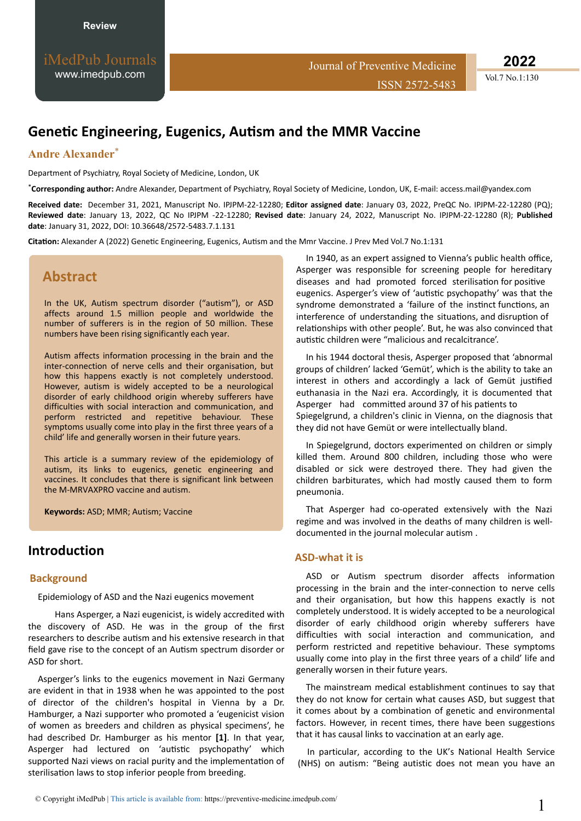iMedPub Journals [www.imedpub.com](http://www.imedpub.com/)

**2022**

Vol.7 No.1:130

# **Genetic Engineering, Eugenics, Autism and the MMR Vaccine**

## **Andre Alexander**\*

Department of Psychiatry, Royal Society of Medicine, London, UK

\***Corresponding author:** Andre Alexander, Department of Psychiatry, Royal Society of Medicine, London, UK, E-mail: [access.mail@yandex.com](mailto:access.mail@yandex.com)

**Received date:** December 31, 2021, Manuscript No. IPJPM-22-12280; **Editor assigned date**: January 03, 2022, PreQC No. IPJPM-22-12280 (PQ); **Reviewed date**: January 13, 2022, QC No IPJPM -22-12280; **Revised date**: January 24, 2022, Manuscript No. IPJPM-22-12280 (R); **Published date**: January 31, 2022, DOI: 10.36648/2572-5483.7.1.131

Citation: Alexander A (2022) Genetic Engineering, Eugenics, Autism and the Mmr Vaccine. J Prev Med Vol.7 No.1:131

# **Abstract**

In the UK, Autism spectrum disorder ("autism"), or ASD affects around 1.5 million people and worldwide the number of sufferers is in the region of 50 million. These numbers have been rising significantly each year.

Autism affects information processing in the brain and the inter-connection of nerve cells and their organisation, but how this happens exactly is not completely understood. However, autism is widely accepted to be a neurological disorder of early childhood origin whereby sufferers have difficulties with social interaction and communication, and perform restricted and repetitive behaviour. These symptoms usually come into play in the first three years of a child' life and generally worsen in their future years.

This article is a summary review of the epidemiology of autism, its links to eugenics, genetic engineering and vaccines. It concludes that there is significant link between the M-MRVAXPRO vaccine and autism.

Keywords: ASD; MMR; Autism; Vaccine

## **Introduction**

#### **Background**

Epidemiology of ASD and the Nazi eugenics movement

Hans Asperger, a Nazi eugenicist, is widely accredited with the discovery of ASD. He was in the group of the first researchers to describe autism and his extensive research in that field gave rise to the concept of an Autism spectrum disorder or ASD for short.

Asperger's links to the eugenics movement in Nazi Germany are evident in that in 1938 when he was appointed to the post of director of the children's hospital in Vienna by a Dr. Hamburger, a Nazi supporter who promoted a 'eugenicist vision of women as breeders and children as physical specimens', he had described Dr. Hamburger as his mentor **[1]**. In that year, Asperger had lectured on 'autistic psychopathy' which supported Nazi views on racial purity and the implementation of sterilisation laws to stop inferior people from breeding.

In 1940, as an expert assigned to Vienna's public health office, Asperger was responsible for screening people for hereditary diseases and had promoted forced sterilisation for positive eugenics. Asperger's view of 'autistic psychopathy' was that the syndrome demonstrated a 'failure of the instinct functions, an interference of understanding the situations, and disruption of relationships with other people'. But, he was also convinced that autistic children were "malicious and recalcitrance'.

In his 1944 doctoral thesis, Asperger proposed that 'abnormal groups of children' lacked 'Gemüt', which is the ability to take an interest in others and accordingly a lack of Gemüt justified euthanasia in the Nazi era. Accordingly, it is documented that Asperger had committed around 37 of his patients to Spiegelgrund, a children's clinic in Vienna, on the diagnosis that they did not have Gemüt or were intellectually bland.

In Spiegelgrund, doctors experimented on children or simply killed them. Around 800 children, including those who were disabled or sick were destroyed there. They had given the children barbiturates, which had mostly caused them to form pneumonia.

That Asperger had co-operated extensively with the Nazi regime and was involved in the deaths of many children is welldocumented in the journal molecular autism.

#### **ASD-what it is**

ASD or Autism spectrum disorder affects information processing in the brain and the inter-connection to nerve cells and their organisation, but how this happens exactly is not completely understood. It is widely accepted to be a neurological disorder of early childhood origin whereby sufferers have difficulties with social interaction and communication, and perform restricted and repetitive behaviour. These symptoms usually come into play in the first three years of a child' life and generally worsen in their future years.

The mainstream medical establishment continues to say that they do not know for certain what causes ASD, but suggest that it comes about by a combination of genetic and environmental factors. However, in recent times, there have been suggestions that it has causal links to vaccination at an early age.

In particular, according to the UK's National Health Service (NHS) on autism: "Being autistic does not mean you have an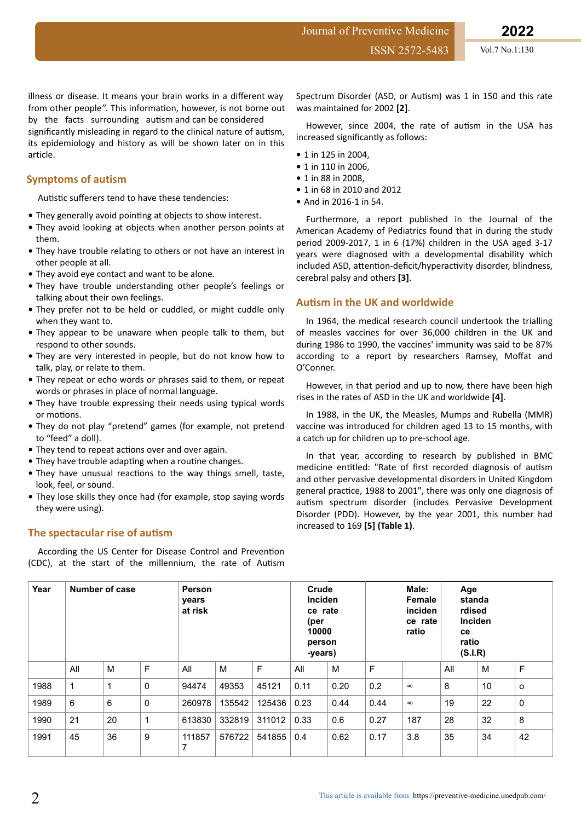ISSN 2572-5483 Vol.7 No.1:130

illness or disease. It means your brain works in a different way from other people". This information, however, is not borne out by the facts surrounding autism and can be considered

significantly misleading in regard to the clinical nature of autism, its epidemiology and history as will be shown later on in this article.

### **Symptoms of autism**

Autistic sufferers tend to have these tendencies:

- They generally avoid pointing at objects to show interest.
- **•** They avoid looking at objects when another person points at them.
- They have trouble relating to others or not have an interest in other people at all.
- **•** They avoid eye contact and want to be alone.
- **•** They have trouble understanding other people's feelings or talking about their own feelings.
- **•** They prefer not to be held or cuddled, or might cuddle only when they want to.
- **•** They appear to be unaware when people talk to them, but respond to other sounds.
- **•** They are very interested in people, but do not know how to talk, play, or relate to them.
- **•** They repeat or echo words or phrases said to them, or repeat words or phrases in place of normal language.
- **•** They have trouble expressing their needs using typical words or motions.
- **•** They do not play "pretend" games (for example, not pretend to "feed" a doll).
- They tend to repeat actions over and over again.
- They have trouble adapting when a routine changes.
- They have unusual reactions to the way things smell, taste, look, feel, or sound.
- **•** They lose skills they once had (for example, stop saying words they were using).

### **The spectacular rise of autism**

According the US Center for Disease Control and Prevention (CDC), at the start of the millennium, the rate of Autism

Spectrum Disorder (ASD, or Autism) was 1 in 150 and this rate was maintained for 2002 **[2]**.

However, since 2004, the rate of autism in the USA has increased significantly as follows:

- **•** 1 in 125 in 2004,
- **•** 1 in 110 in 2006,
- **•** 1 in 88 in 2008,
- **•** 1 in 68 in 2010 and 2012
- **•** And in 2016-1 in 54.

Furthermore, a report published in the Journal of the American Academy of Pediatrics found that in during the study period 2009-2017, 1 in 6 (17%) children in the USA aged 3-17 years were diagnosed with a developmental disability which included ASD, attention-deficit/hyperactivity disorder, blindness, cerebral palsy and others **[3]**.

### **ƵƟƐm in the UK and worldwide**

In 1964, the medical research council undertook the trialling of measles vaccines for over 36,000 children in the UK and during 1986 to 1990, the vaccines' immunity was said to be 87% according to a report by researchers Ramsey, Moffat and O'Conner.

However, in that period and up to now, there have been high rises in the rates of ASD in the UK and worldwide **[4]**.

In 1988, in the UK, the Measles, Mumps and Rubella (MMR) vaccine was introduced for children aged 13 to 15 months, with a catch up for children up to pre-school age.

In that year, according to research by published in BMC medicine entitled: "Rate of first recorded diagnosis of autism and other pervasive developmental disorders in United Kingdom general practice, 1988 to 2001", there was only one diagnosis of autism spectrum disorder (includes Pervasive Development Disorder (PDD). However, by the year 2001, this number had increased to 169 **[5] (Table 1)**.

| Year | Number of case |    |             | Person<br>years<br>at risk |        |        | Crude<br><b>Inciden</b><br>ce rate<br>(per<br>10000<br>person<br>-years) |      | Male:<br>Female<br>inciden<br>ce rate<br>ratio |          | Age<br>standa<br>rdised<br>Inciden<br>ce<br>ratio<br>(S.I.R) |    |           |
|------|----------------|----|-------------|----------------------------|--------|--------|--------------------------------------------------------------------------|------|------------------------------------------------|----------|--------------------------------------------------------------|----|-----------|
|      | All            | M  | F           | All                        | M      | F      | All                                                                      | м    | F                                              |          | All                                                          | м  | F         |
| 1988 | 1              | 1  | 0           | 94474                      | 49353  | 45121  | 0.11                                                                     | 0.20 | 0.2                                            | $\infty$ | 8                                                            | 10 | $\circ$   |
| 1989 | 6              | 6  | $\mathbf 0$ | 260978                     | 135542 | 125436 | 0.23                                                                     | 0.44 | 0.44                                           | $\infty$ | 19                                                           | 22 | $\pmb{0}$ |
| 1990 | 21             | 20 | 1           | 613830                     | 332819 | 311012 | 0.33                                                                     | 0.6  | 0.27                                           | 187      | 28                                                           | 32 | 8         |
| 1991 | 45             | 36 | 9           | 111857<br>7                | 576722 | 541855 | 0.4                                                                      | 0.62 | 0.17                                           | 3.8      | 35                                                           | 34 | 42        |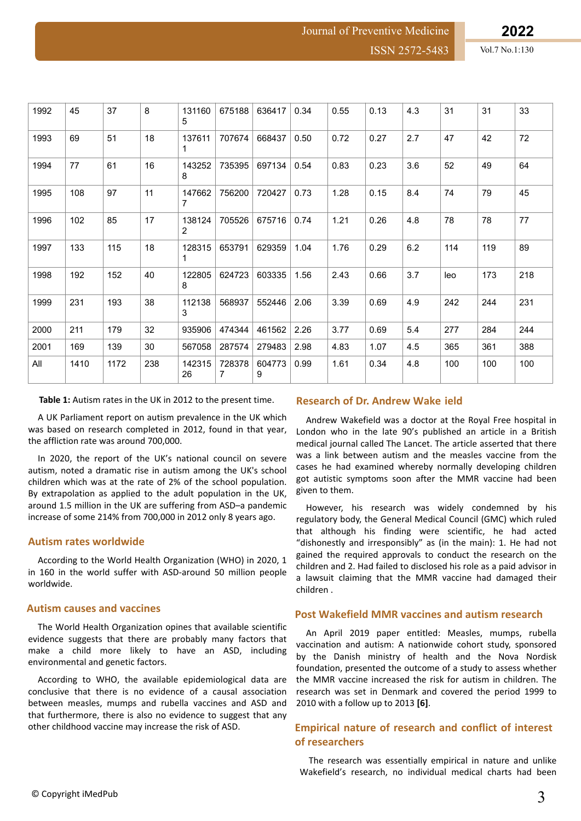Journal of Preventive Medicine

| 1992 | 45   | 37   | 8   | 131160<br>5  | 675188      | 636417      | 0.34 | 0.55 | 0.13 | 4.3 | 31  | 31  | 33  |
|------|------|------|-----|--------------|-------------|-------------|------|------|------|-----|-----|-----|-----|
| 1993 | 69   | 51   | 18  | 137611<br>1  | 707674      | 668437      | 0.50 | 0.72 | 0.27 | 2.7 | 47  | 42  | 72  |
| 1994 | 77   | 61   | 16  | 143252<br>8  | 735395      | 697134      | 0.54 | 0.83 | 0.23 | 3.6 | 52  | 49  | 64  |
| 1995 | 108  | 97   | 11  | 147662<br>7  | 756200      | 720427      | 0.73 | 1.28 | 0.15 | 8.4 | 74  | 79  | 45  |
| 1996 | 102  | 85   | 17  | 138124<br>2  | 705526      | 675716      | 0.74 | 1.21 | 0.26 | 4.8 | 78  | 78  | 77  |
| 1997 | 133  | 115  | 18  | 128315<br>1  | 653791      | 629359      | 1.04 | 1.76 | 0.29 | 6.2 | 114 | 119 | 89  |
| 1998 | 192  | 152  | 40  | 122805<br>8  | 624723      | 603335      | 1.56 | 2.43 | 0.66 | 3.7 | leo | 173 | 218 |
| 1999 | 231  | 193  | 38  | 112138<br>3  | 568937      | 552446      | 2.06 | 3.39 | 0.69 | 4.9 | 242 | 244 | 231 |
| 2000 | 211  | 179  | 32  | 935906       | 474344      | 461562      | 2.26 | 3.77 | 0.69 | 5.4 | 277 | 284 | 244 |
| 2001 | 169  | 139  | 30  | 567058       | 287574      | 279483      | 2.98 | 4.83 | 1.07 | 4.5 | 365 | 361 | 388 |
| All  | 1410 | 1172 | 238 | 142315<br>26 | 728378<br>7 | 604773<br>9 | 0.99 | 1.61 | 0.34 | 4.8 | 100 | 100 | 100 |

Table 1: Autism rates in the UK in 2012 to the present time.

A UK Parliament report on autism prevalence in the UK which was based on research completed in 2012, found in that year, the affliction rate was around 700,000.

In 2020, the report of the UK's national council on severe autism, noted a dramatic rise in autism among the UK's school children which was at the rate of 2% of the school population. By extrapolation as applied to the adult population in the UK, around 1.5 million in the UK are suffering from ASD-a pandemic increase of some 214% from 700,000 in 2012 only 8 years ago.

#### **ƵƚŝƐm rates worldwide**

According to the World Health Organization (WHO) in 2020, 1 in 160 in the world suffer with ASD-around 50 million people worldwide.

#### **Autism causes and vaccines**

The World Health Organization opines that available scientific evidence suggests that there are probably many factors that make a child more likely to have an ASD, including environmental and genetic factors.

According to WHO, the available epidemiological data are conclusive that there is no evidence of a causal association between measles, mumps and rubella vaccines and ASD and that furthermore, there is also no evidence to suggest that any other childhood vaccine may increase the risk of ASD.

### **Research of Dr. Andrew Wake ield**

Andrew Wakefield was a doctor at the Royal Free hospital in London who in the late 90's published an article in a British medical journal called The Lancet. The article asserted that there was a link between autism and the measles vaccine from the cases he had examined whereby normally developing children got autistic symptoms soon after the MMR vaccine had been given to them.

However, his research was widely condemned by his regulatory body, the General Medical Council (GMC) which ruled that although his finding were scientific, he had acted "dishonestly and irresponsibly" as (in the main): 1. He had not gained the required approvals to conduct the research on the children and 2. Had failed to disclosed his role as a paid advisor in a lawsuit claiming that the MMR vaccine had damaged their children .

#### **Post Wakefield MMR vaccines and autism research**

An April 2019 paper entitled: Measles, mumps, rubella vaccination and autism: A nationwide cohort study, sponsored by the Danish ministry of health and the Nova Nordisk foundation, presented the outcome of a study to assess whether the MMR vaccine increased the risk for autism in children. The research was set in Denmark and covered the period 1999 to 2010 with a follow up to 2013 **[6]**.

### **Empirical nature of research and conflict of interest of researchers**

The research was essentially empirical in nature and unlike Wakefield's research, no individual medical charts had been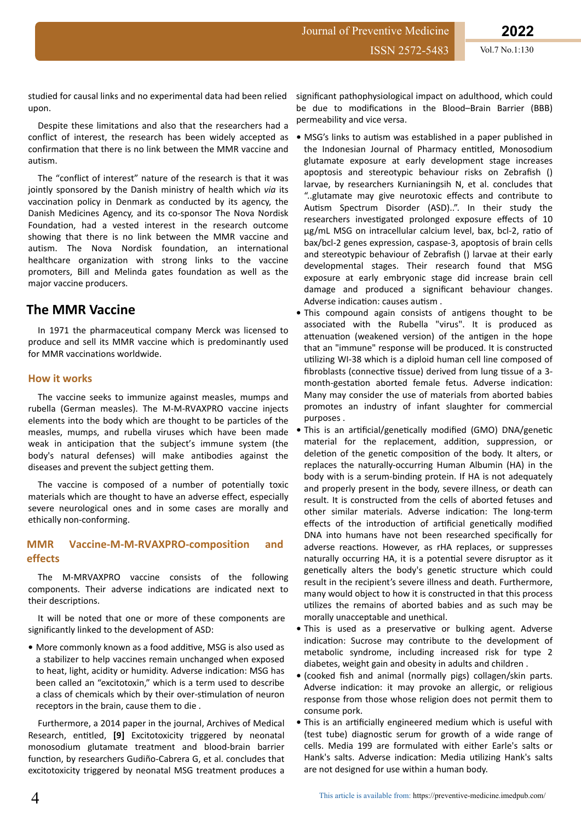Journal of Preventive Medicine

studied for causal links and no experimental data had been relied upon.

Despite these limitations and also that the researchers had a conflict of interest, the research has been widely accepted as confirmation that there is no link between the MMR vaccine and autism

The "conflict of interest" nature of the research is that it was jointly sponsored by the Danish ministry of health which *via* its vaccination policy in Denmark as conducted by its agency, the Danish Medicines Agency, and its co-sponsor The Nova Nordisk Foundation, had a vested interest in the research outcome showing that there is no link between the MMR vaccine and autism. The Nova Nordisk foundation, an international healthcare organization with strong links to the vaccine promoters, Bill and Melinda gates foundation as well as the major vaccine producers.

### **The MMR Vaccine**

In 1971 the pharmaceutical company Merck was licensed to produce and sell its MMR vaccine which is predominantly used for MMR vaccinations worldwide.

### **How it works**

The vaccine seeks to immunize against measles, mumps and rubella (German measles). The M-M-RVAXPRO vaccine injects elements into the body which are thought to be particles of the measles, mumps, and rubella viruses which have been made weak in anticipation that the subject's immune system (the body's natural defenses) will make antibodies against the diseases and prevent the subject getting them.

The vaccine is composed of a number of potentially toxic materials which are thought to have an adverse effect, especially severe neurological ones and in some cases are morally and ethically non-conforming.

### **MMR Vaccine-M-M-RVAXPRO-composition and effects**

The M-MRVAXPRO vaccine consists of the following components. Their adverse indications are indicated next to their descriptions.

It will be noted that one or more of these components are significantly linked to the development of ASD:

• More commonly known as a food additive, MSG is also used as a stabilizer to help vaccines remain unchanged when exposed to heat, light, acidity or humidity. Adverse indication: MSG has been called an "excitotoxin," which is a term used to describe a class of chemicals which by their over-stimulation of neuron receptors in the brain, cause them to die .

Furthermore, a 2014 paper in the journal, Archives of Medical Research, entitled, <a>[9]</a> Excitotoxicity triggered by neonatal monosodium glutamate treatment and blood-brain barrier function, by researchers Gudiño-Cabrera G, et al. concludes that excitotoxicity triggered by neonatal MSG treatment produces a

significant pathophysiological impact on adulthood, which could be due to modifications in the Blood–Brain Barrier (BBB) permeability and vice versa.

- MSG's links to autism was established in a paper published in the Indonesian Journal of Pharmacy entitled, Monosodium glutamate exposure at early development stage increases apoptosis and stereotypic behaviour risks on Zebrafish () larvae, by researchers Kurnianingsih N, et al. concludes that "..glutamate may give neurotoxic effects and contribute to Autism Spectrum Disorder (ASD)..". In their study the researchers investigated prolonged exposure effects of 10 ug/mL MSG on intracellular calcium level, bax, bcl-2, ratio of bax/bcl-2 genes expression, caspase-3, apoptosis of brain cells and stereotypic behaviour of Zebrafish () larvae at their early developmental stages. Their research found that MSG exposure at early embryonic stage did increase brain cell damage and produced a significant behaviour changes. Adverse indication: causes autism .
- This compound again consists of antigens thought to be associated with the Rubella "virus". It is produced as attenuation (weakened version) of the antigen in the hope that an "immune" response will be produced. It is constructed utilizing WI-38 which is a diploid human cell line composed of fibroblasts (connective tissue) derived from lung tissue of a 3month-gestation aborted female fetus. Adverse indication: Many may consider the use of materials from aborted babies promotes an industry of infant slaughter for commercial purposes .
- This is an artificial/genetically modified (GMO) DNA/genetic material for the replacement, addition, suppression, or deletion of the genetic composition of the body. It alters, or replaces the naturally-occurring Human Albumin (HA) in the body with is a serum-binding protein. If HA is not adequately and properly present in the body, severe illness, or death can result. It is constructed from the cells of aborted fetuses and other similar materials. Adverse indication: The long-term effects of the introduction of artificial genetically modified DNA into humans have not been researched specifically for adverse reactions. However, as rHA replaces, or suppresses naturally occurring HA, it is a potential severe disruptor as it genetically alters the body's genetic structure which could result in the recipient's severe illness and death. Furthermore, many would object to how it is constructed in that this process utilizes the remains of aborted babies and as such may be morally unacceptable and unethical.
- This is used as a preservative or bulking agent. Adverse indication: Sucrose may contribute to the development of metabolic syndrome, including increased risk for type 2 diabetes, weight gain and obesity in adults and children .
- (cooked fish and animal (normally pigs) collagen/skin parts. Adverse indication: it may provoke an allergic, or religious response from those whose religion does not permit them to consume pork.
- This is an artificially engineered medium which is useful with (test tube) diagnostic serum for growth of a wide range of cells. Media 199 are formulated with either Earle's salts or Hank's salts. Adverse indication: Media utilizing Hank's salts are not designed for use within a human body.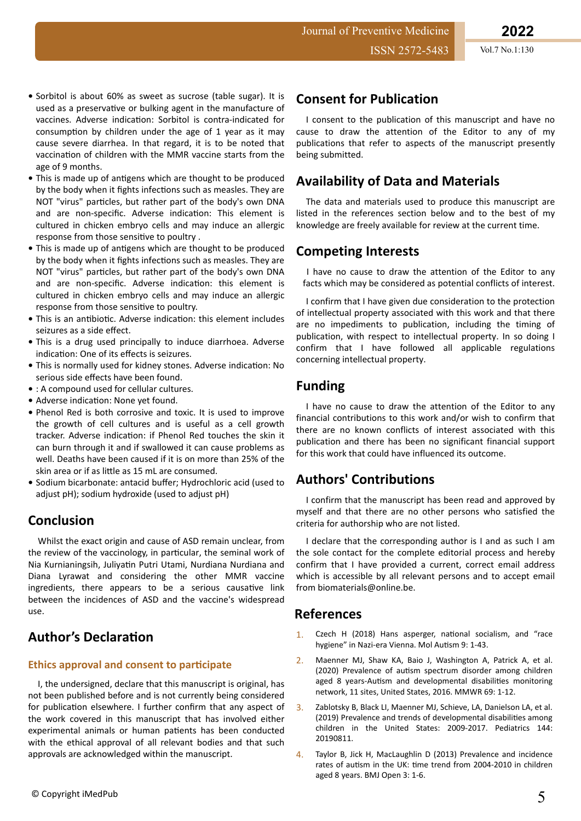- **•** Sorbitol is about 60% as sweet as sucrose (table sugar). It is used as a preservative or bulking agent in the manufacture of vaccines. Adverse indication: Sorbitol is contra-indicated for consumption by children under the age of 1 year as it may cause severe diarrhea. In that regard, it is to be noted that vaccination of children with the MMR vaccine starts from the age of 9 months.
- **•** This is made up of antigens which are thought to be produced by the body when it fights infections such as measles. They are NOT "virus" particles, but rather part of the body's own DNA and are non-specific. Adverse indication: This element is cultured in chicken embryo cells and may induce an allergic response from those sensitive to poultry .
- This is made up of antigens which are thought to be produced by the body when it fights infections such as measles. They are NOT "virus" particles, but rather part of the body's own DNA and are non-specific. Adverse indication: this element is cultured in chicken embryo cells and may induce an allergic response from those sensitive to poultry.
- This is an antibiotic. Adverse indication: this element includes seizures as a side effect.
- **•** This is a drug used principally to induce diarrhoea. Adverse indication: One of its effects is seizures.
- This is normally used for kidney stones. Adverse indication: No serious side effects have been found.
- **•** : A compound used for cellular cultures.
- Adverse indication: None yet found.
- **•** Phenol Red is both corrosive and toxic. It is used to improve the growth of cell cultures and is useful as a cell growth tracker. Adverse indication: if Phenol Red touches the skin it can burn through it and if swallowed it can cause problems as well. Deaths have been caused if it is on more than 25% of the skin area or if as little as 15 mL are consumed.
- Sodium bicarbonate: antacid buffer; Hydrochloric acid (used to adjust pH); sodium hydroxide (used to adjust pH)

# **Conclusion**

Whilst the exact origin and cause of ASD remain unclear, from the review of the vaccinology, in particular, the seminal work of Nia Kurnianingsih, Juliyatin Putri Utami, Nurdiana Nurdiana and Diana Lyrawat and considering the other MMR vaccine ingredients, there appears to be a serious causative link between the incidences of ASD and the vaccine's widespread use.

# **Author's Declaration**

### **Ethics approval and consent to participate**

I, the undersigned, declare that this manuscript is original, has not been published before and is not currently being considered for publication elsewhere. I further confirm that any aspect of the work covered in this manuscript that has involved either experimental animals or human patients has been conducted with the ethical approval of all relevant bodies and that such approvals are acknowledged within the manuscript.

# **Consent for Publication**

Journal of Preventive Medicine

I consent to the publication of this manuscript and have no cause to draw the attention of the Editor to any of my publications that refer to aspects of the manuscript presently being submitted.

# **Availability of Data and Materials**

The data and materials used to produce this manuscript are listed in the references section below and to the best of my knowledge are freely available for review at the current time.

# **Competing Interests**

I have no cause to draw the attention of the Editor to any facts which may be considered as potential conflicts of interest.

I confirm that I have given due consideration to the protection of intellectual property associated with this work and that there are no impediments to publication, including the timing of publication, with respect to intellectual property. In so doing I confirm that I have followed all applicable regulations concerning intellectual property.

# **Funding**

I have no cause to draw the attention of the Editor to any financial contributions to this work and/or wish to confirm that there are no known conflicts of interest associated with this publication and there has been no significant financial support for this work that could have influenced its outcome.

# **Authors' Contributions**

I confirm that the manuscript has been read and approved by myself and that there are no other persons who satisfied the criteria for authorship who are not listed.

I declare that the corresponding author is I and as such I am the sole contact for the complete editorial process and hereby confirm that I have provided a current, correct email address which is accessible by all relevant persons and to accept email from biomaterials@online.be.

### **References**

- 1. Czech H (2018) Hans asperger, national [socialism, and "race](https://molecularautism.biomedcentral.com/articles/10.1186/s13229-018-0208-6) [hygiene" in Nazi-era Vienna](https://molecularautism.biomedcentral.com/articles/10.1186/s13229-018-0208-6). Mol Autism 9: 1-43.
- 2. Maenner MJ, Shaw KA, Baio J, Washington A, Patrick A, et al. (2020) Prevalence of autism [spectrum disorder among children](https://www.cdc.gov/mmwr/volumes/69/ss/ss6904a1.htm) aged 8 years-Autism [and developmental](https://www.cdc.gov/mmwr/volumes/69/ss/ss6904a1.htm) disabilities monitoring [network, 11 sites, United States, 2016.](https://www.cdc.gov/mmwr/volumes/69/ss/ss6904a1.htm) MMWR 69: 1-12.
- 3. Zablotsky B, Black LI, Maenner MJ, Schieve, LA, Danielson LA, et al. (201[9\) Prevalence and trends of developmental](https://publications.aap.org/pediatrics/article/144/4/e20190811/76974/Prevalence-and-Trends-of-Developmental) disabilities among [children in the United States: 2009-2017.](https://publications.aap.org/pediatrics/article/144/4/e20190811/76974/Prevalence-and-Trends-of-Developmental) Pediatrics 144: 20190811.
- 4. Taylor B, Jick H, MacLaughlin D (2013) [Prevalence and incidence](https://bmjopen.bmj.com/content/3/10/e003219) rates of autism in the UK: time [trend from 2004-2010 in children](https://bmjopen.bmj.com/content/3/10/e003219) [aged 8 years.](https://bmjopen.bmj.com/content/3/10/e003219) BMJ Open 3: 1-6.